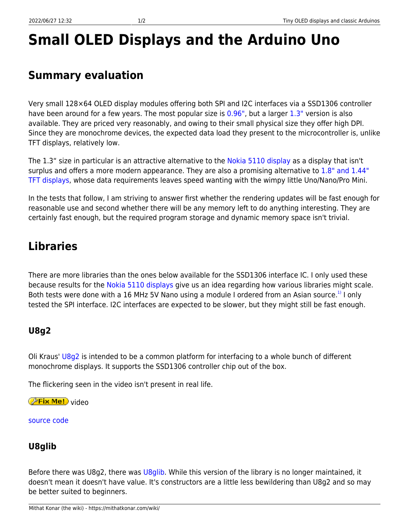# **Small OLED Displays and the Arduino Uno**

## **Summary evaluation**

Very small 128×64 OLED display modules offering both SPI and I2C interfaces via a SSD1306 controller have been around for a few years. The most popular size is [0.96",](https://www.ebay.com/sch/i.html?_odkw=0.96oled+ssd1306&_osacat=0&_from=R40&_trksid=p2045573.m570.l1313.TR0.TRC0.H0.X0.96+oled+ssd1306.TRS0&_nkw=0.96+oled+ssd1306&_sacat=0) but a larger [1.3"](https://www.ebay.com/sch/i.html?_odkw=oled+ssd1306&_osacat=0&_from=R40&_trksid=p2045573.m570.l1313.TR0.TRC0.A0.H0.X1.3%22+oled+ssd1306+.TRS1&_nkw=1.3%22+oled+ssd1306+&_sacat=0) version is also available. They are priced very reasonably, and owing to their small physical size they offer high DPI. Since they are monochrome devices, the expected data load they present to the microcontroller is, unlike TFT displays, relatively low.

The 1.3" size in particular is an attractive alternative to the [Nokia 5110 display](https://mithatkonar.com/wiki/doku.php/arduino/displays_for_classic_arduinos/nokia_5110_displays_and_classic_arduinos) as a display that isn't surplus and offers a more modern appearance. They are also a promising alternative to [1.8" and 1.44"](https://mithatkonar.com/wiki/doku.php/arduino/displays_for_classic_arduinos/1.8_and_1.44_tft_displays_and_classic_arduinos) [TFT displays,](https://mithatkonar.com/wiki/doku.php/arduino/displays_for_classic_arduinos/1.8_and_1.44_tft_displays_and_classic_arduinos) whose data requirements leaves speed wanting with the wimpy little Uno/Nano/Pro Mini.

In the tests that follow, I am striving to answer first whether the rendering updates will be fast enough for reasonable use and second whether there will be any memory left to do anything interesting. They are certainly fast enough, but the required program storage and dynamic memory space isn't trivial.

# **Libraries**

There are more libraries than the ones below available for the SSD1306 interface IC. I only used these because results for the [Nokia 5110 displays](https://mithatkonar.com/wiki/doku.php/arduino/displays_for_classic_arduinos/nokia_5110_displays_and_classic_arduinos) give us an idea regarding how various libraries might scale. Both tests were done with a 16 MHz 5V Nano using a module I ordered from an Asian source.<sup>[1\)](#page--1-0)</sup> I only tested the SPI interface. I2C interfaces are expected to be slower, but they might still be fast enough.

## **U8g2**

Oli Kraus' [U8g2](https://github.com/olikraus/u8g2/wiki) is intended to be a common platform for interfacing to a whole bunch of different monochrome displays. It supports the SSD1306 controller chip out of the box.

The flickering seen in the video isn't present in real life.

*PFix Me!* video

[source code](https://mithatkonar.com/wiki/doku.php/arduino/displays_for_classic_arduinos/display_ssd1306_oled_u8g2.ino)

## **U8glib**

Before there was U8g2, there was [U8glib](https://github.com/olikraus/u8glib/wiki). While this version of the library is no longer maintained, it doesn't mean it doesn't have value. It's constructors are a little less bewildering than U8g2 and so may be better suited to beginners.